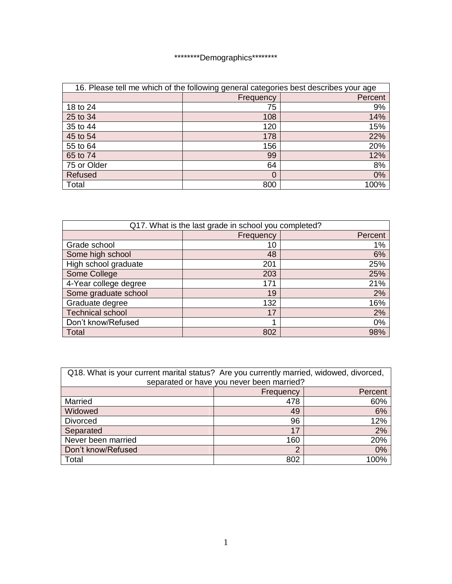## \*\*\*\*\*\*\*\*\*\*Demographics\*\*\*\*\*\*\*\*\*

| 16. Please tell me which of the following general categories best describes your age |           |         |
|--------------------------------------------------------------------------------------|-----------|---------|
|                                                                                      | Frequency | Percent |
| 18 to 24                                                                             | 75        | 9%      |
| 25 to 34                                                                             | 108       | 14%     |
| 35 to 44                                                                             | 120       | 15%     |
| 45 to 54                                                                             | 178       | 22%     |
| 55 to 64                                                                             | 156       | 20%     |
| 65 to 74                                                                             | 99        | 12%     |
| 75 or Older                                                                          | 64        | 8%      |
| Refused                                                                              | 0         | 0%      |
| Total                                                                                | 800       | 100%    |

| Q17. What is the last grade in school you completed? |           |         |
|------------------------------------------------------|-----------|---------|
|                                                      | Frequency | Percent |
| Grade school                                         | 10        | 1%      |
| Some high school                                     | 48        | 6%      |
| High school graduate                                 | 201       | 25%     |
| Some College                                         | 203       | 25%     |
| 4-Year college degree                                | 171       | 21%     |
| Some graduate school                                 | 19        | 2%      |
| Graduate degree                                      | 132       | 16%     |
| <b>Technical school</b>                              | 17        | 2%      |
| Don't know/Refused                                   | 1         | 0%      |
| Total                                                | 802       | 98%     |

| Q18. What is your current marital status? Are you currently married, widowed, divorced, |           |         |
|-----------------------------------------------------------------------------------------|-----------|---------|
| separated or have you never been married?                                               |           |         |
|                                                                                         | Frequency | Percent |
| Married                                                                                 | 478       | 60%     |
| Widowed                                                                                 | 49        | 6%      |
| <b>Divorced</b>                                                                         | 96        | 12%     |
| Separated                                                                               | 17        | 2%      |
| Never been married                                                                      | 160       | 20%     |
| Don't know/Refused                                                                      | 2         | 0%      |
| Total                                                                                   | 802       | 100%    |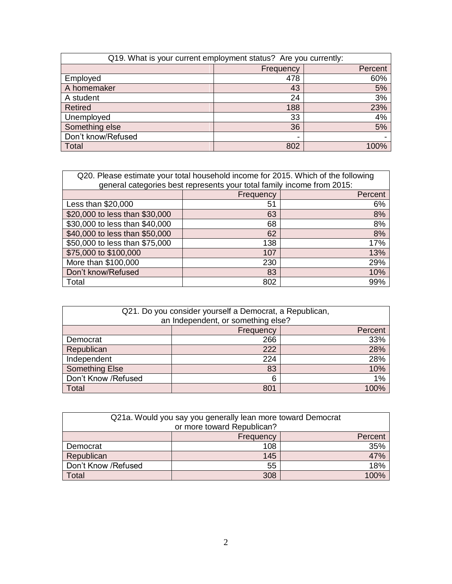| Q19. What is your current employment status? Are you currently: |           |         |
|-----------------------------------------------------------------|-----------|---------|
|                                                                 | Frequency | Percent |
| Employed                                                        | 478       | 60%     |
| A homemaker                                                     | 43        | 5%      |
| A student                                                       | 24        | 3%      |
| <b>Retired</b>                                                  | 188       | 23%     |
| Unemployed                                                      | 33        | 4%      |
| Something else                                                  | 36        | 5%      |
| Don't know/Refused                                              |           |         |
| Total                                                           | 802       | 100%    |

| Q20. Please estimate your total household income for 2015. Which of the following |           |         |
|-----------------------------------------------------------------------------------|-----------|---------|
| general categories best represents your total family income from 2015:            |           |         |
|                                                                                   | Frequency | Percent |
| Less than \$20,000                                                                | 51        | 6%      |
| \$20,000 to less than \$30,000                                                    | 63        | 8%      |
| \$30,000 to less than \$40,000                                                    | 68        | 8%      |
| \$40,000 to less than \$50,000                                                    | 62        | 8%      |
| \$50,000 to less than \$75,000                                                    | 138       | 17%     |
| \$75,000 to \$100,000                                                             | 107       | 13%     |
| More than \$100,000                                                               | 230       | 29%     |
| Don't know/Refused                                                                | 83        | 10%     |
| Total                                                                             | 802       | 99%     |

| Q21. Do you consider yourself a Democrat, a Republican,<br>an Independent, or something else? |           |         |
|-----------------------------------------------------------------------------------------------|-----------|---------|
|                                                                                               | Frequency | Percent |
| Democrat                                                                                      | 266       | 33%     |
| Republican                                                                                    | 222       | 28%     |
| Independent                                                                                   | 224       | 28%     |
| Something Else                                                                                | 83        | 10%     |
| Don't Know /Refused                                                                           | 6         | 1%      |
| Total                                                                                         | 801       | 100%    |

| Q21a. Would you say you generally lean more toward Democrat |           |         |
|-------------------------------------------------------------|-----------|---------|
| or more toward Republican?                                  |           |         |
|                                                             | Frequency | Percent |
| Democrat                                                    | 108       | 35%     |
| Republican                                                  | 145       | 47%     |
| Don't Know /Refused                                         | 55        | 18%     |
| <b>Total</b>                                                | 308       | 100%    |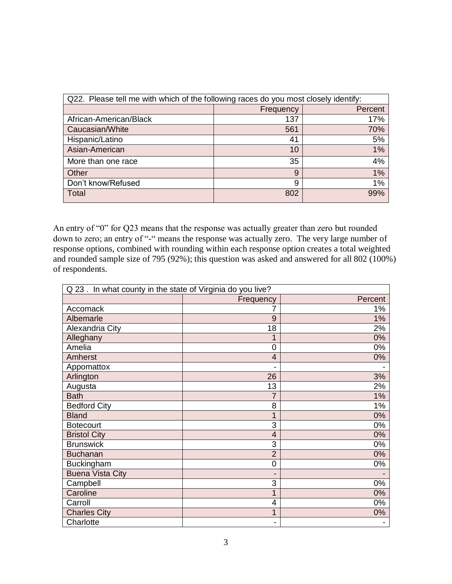| Q22. Please tell me with which of the following races do you most closely identify: |           |         |
|-------------------------------------------------------------------------------------|-----------|---------|
|                                                                                     | Frequency | Percent |
| African-American/Black                                                              | 137       | 17%     |
| Caucasian/White                                                                     | 561       | 70%     |
| Hispanic/Latino                                                                     | 41        | 5%      |
| Asian-American                                                                      | 10        | 1%      |
| More than one race                                                                  | 35        | 4%      |
| Other                                                                               | 9         | 1%      |
| Don't know/Refused                                                                  | 9         | 1%      |
| Total                                                                               | 802       | 99%     |

An entry of "0" for Q23 means that the response was actually greater than zero but rounded down to zero; an entry of "-" means the response was actually zero. The very large number of response options, combined with rounding within each response option creates a total weighted and rounded sample size of 795 (92%); this question was asked and answered for all 802 (100%) of respondents.

| Q 23. In what county in the state of Virginia do you live? |                          |         |
|------------------------------------------------------------|--------------------------|---------|
|                                                            | Frequency                | Percent |
| Accomack                                                   | 7                        | 1%      |
| Albemarle                                                  | 9                        | 1%      |
| Alexandria City                                            | 18                       | 2%      |
| Alleghany                                                  | 1                        | 0%      |
| Amelia                                                     | $\mathbf 0$              | 0%      |
| Amherst                                                    | $\overline{4}$           | 0%      |
| Appomattox                                                 | $\blacksquare$           |         |
| Arlington                                                  | 26                       | 3%      |
| Augusta                                                    | 13                       | 2%      |
| <b>Bath</b>                                                | 7                        | 1%      |
| <b>Bedford City</b>                                        | 8                        | $1\%$   |
| <b>Bland</b>                                               | 1                        | 0%      |
| <b>Botecourt</b>                                           | 3                        | 0%      |
| <b>Bristol City</b>                                        | $\overline{4}$           | 0%      |
| <b>Brunswick</b>                                           | 3                        | 0%      |
| <b>Buchanan</b>                                            | $\overline{2}$           | 0%      |
| Buckingham                                                 | $\mathbf 0$              | 0%      |
| <b>Buena Vista City</b>                                    | $\overline{\phantom{a}}$ |         |
| Campbell                                                   | 3                        | 0%      |
| Caroline                                                   | 1                        | 0%      |
| Carroll                                                    | 4                        | 0%      |
| <b>Charles City</b>                                        | 1                        | $0\%$   |
| Charlotte                                                  | $\overline{\phantom{a}}$ |         |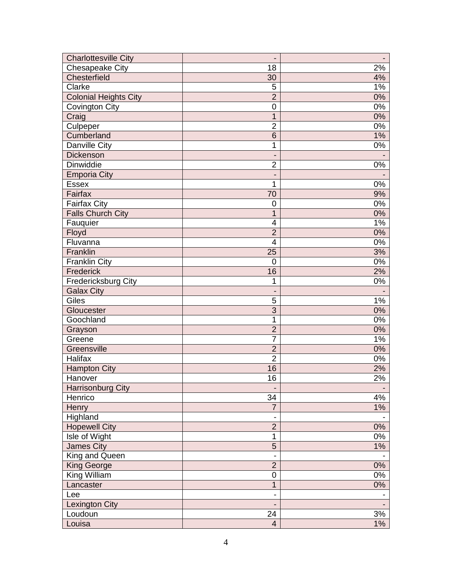| <b>Charlottesville City</b>  | $\overline{\phantom{0}}$     |       |
|------------------------------|------------------------------|-------|
| Chesapeake City              | 18                           | 2%    |
| Chesterfield                 | 30                           | 4%    |
| Clarke                       | 5                            | 1%    |
| <b>Colonial Heights City</b> | $\overline{2}$               | 0%    |
| <b>Covington City</b>        | $\boldsymbol{0}$             | 0%    |
| Craig                        | $\mathbf{1}$                 | $0\%$ |
| Culpeper                     | $\overline{2}$               | $0\%$ |
| Cumberland                   | 6                            | 1%    |
| Danville City                | 1                            | $0\%$ |
| Dickenson                    | -                            |       |
| <b>Dinwiddie</b>             | $\overline{2}$               | 0%    |
| <b>Emporia City</b>          | -                            |       |
| <b>Essex</b>                 | 1                            | 0%    |
| Fairfax                      | 70                           | 9%    |
| <b>Fairfax City</b>          | $\mathbf 0$                  | 0%    |
| <b>Falls Church City</b>     | $\mathbf{1}$                 | 0%    |
| Fauquier                     | 4                            | 1%    |
| Floyd                        | $\overline{2}$               | 0%    |
| Fluvanna                     | $\overline{\mathbf{4}}$      | 0%    |
| Franklin                     | 25                           | 3%    |
| <b>Franklin City</b>         | $\mathbf 0$                  | $0\%$ |
| Frederick                    | 16                           | 2%    |
| Fredericksburg City          | 1                            | 0%    |
| <b>Galax City</b>            | $\overline{\phantom{a}}$     |       |
| Giles                        | 5                            | $1\%$ |
| Gloucester                   | 3                            | 0%    |
| Goochland                    | 1                            | 0%    |
| Grayson                      | $\overline{2}$               | 0%    |
| Greene                       | 7                            | 1%    |
| Greensville                  | $\overline{2}$               | 0%    |
| Halifax                      | $\overline{2}$               | $0\%$ |
| <b>Hampton City</b>          | 16                           | 2%    |
| Hanover                      | 16                           | 2%    |
| <b>Harrisonburg City</b>     | $\qquad \qquad \blacksquare$ |       |
| Henrico                      | 34                           | 4%    |
| Henry                        | $\overline{7}$               | $1\%$ |
| Highland                     |                              |       |
| <b>Hopewell City</b>         | $\overline{2}$               | 0%    |
| Isle of Wight                | 1                            | $0\%$ |
| <b>James City</b>            | $\overline{5}$               | 1%    |
| King and Queen               | $\overline{\phantom{0}}$     |       |
| <b>King George</b>           | $\overline{2}$               | 0%    |
| King William                 | $\mathsf{O}\xspace$          | $0\%$ |
| Lancaster                    | 1                            | $0\%$ |
| Lee                          | $\overline{a}$               |       |
| <b>Lexington City</b>        |                              |       |
| Loudoun                      | 24                           | 3%    |
| Louisa                       | $\overline{4}$               | 1%    |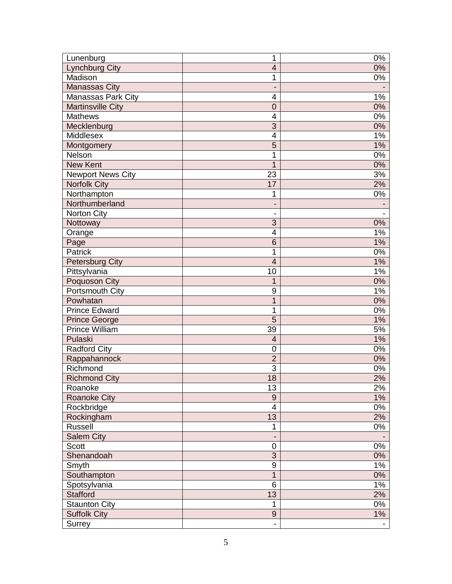| Lunenburg                 | 1                        | 0%                       |
|---------------------------|--------------------------|--------------------------|
| <b>Lynchburg City</b>     | $\overline{\mathbf{4}}$  | 0%                       |
| Madison                   | 1                        | 0%                       |
| <b>Manassas City</b>      | $\blacksquare$           |                          |
| <b>Manassas Park City</b> | 4                        | 1%                       |
| <b>Martinsville City</b>  | $\mathbf 0$              | 0%                       |
| <b>Mathews</b>            | $\overline{4}$           | 0%                       |
| Mecklenburg               | 3                        | 0%                       |
| Middlesex                 | 4                        | 1%                       |
| Montgomery                | 5                        | 1%                       |
| Nelson                    | 1                        | 0%                       |
| <b>New Kent</b>           | 1                        | 0%                       |
| <b>Newport News City</b>  | 23                       | 3%                       |
| <b>Norfolk City</b>       | 17                       | 2%                       |
| Northampton               | 1                        | $0\%$                    |
| Northumberland            | -                        |                          |
| Norton City               | $\overline{a}$           | $\overline{\phantom{a}}$ |
| Nottoway                  | 3                        | 0%                       |
| Orange                    | 4                        | $1\%$                    |
| Page                      | 6                        | 1%                       |
| Patrick                   | 1                        | 0%                       |
| <b>Petersburg City</b>    | $\overline{4}$           | 1%                       |
| Pittsylvania              | 10                       | 1%                       |
| Poquoson City             | 1                        | 0%                       |
| Portsmouth City           | 9                        | 1%                       |
| Powhatan                  | $\overline{1}$           | 0%                       |
| <b>Prince Edward</b>      | 1                        | 0%                       |
| <b>Prince George</b>      | 5                        | 1%                       |
| <b>Prince William</b>     | 39                       | 5%                       |
| Pulaski                   | 4                        | $1\%$                    |
| Radford City              | 0                        | 0%                       |
| Rappahannock              | $\overline{2}$           | 0%                       |
| Richmond                  | 3                        | 0%                       |
| <b>Richmond City</b>      | 18                       | 2%                       |
| Roanoke                   | 13                       | 2%                       |
| <b>Roanoke City</b>       | $\overline{9}$           | $1\%$                    |
| Rockbridge                | 4                        | 0%                       |
| Rockingham                | 13                       | 2%                       |
| Russell                   | 1                        | $0\%$                    |
| <b>Salem City</b>         | $\blacksquare$           |                          |
| Scott                     | 0                        | $0\%$                    |
| Shenandoah                | 3                        | 0%                       |
| Smyth                     | $\overline{9}$           | 1%                       |
| Southampton               | $\mathbf{1}$             | $0\%$                    |
| Spotsylvania              | 6                        | 1%                       |
| <b>Stafford</b>           | 13                       | 2%                       |
| <b>Staunton City</b>      | 1                        | 0%                       |
| <b>Suffolk City</b>       | $\overline{9}$           | 1%                       |
| Surrey                    | $\overline{\phantom{0}}$ |                          |